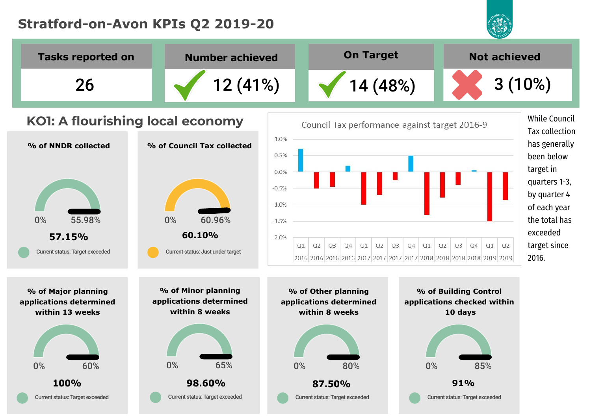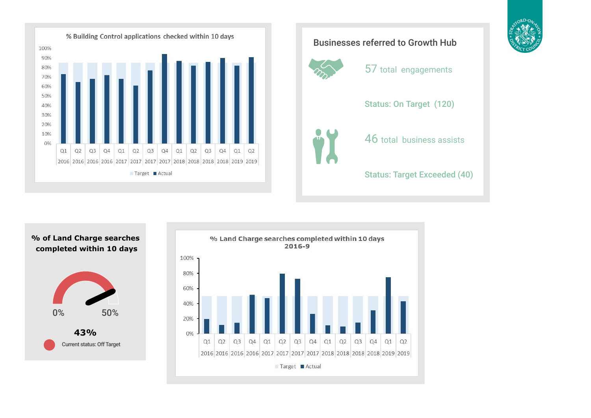





**% of Land Charge searches**

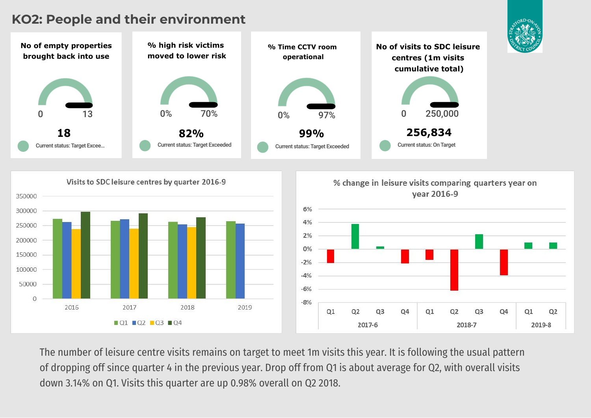## **KO2: People and their environment**

50000

 $\overline{O}$ 

2016

2017

 $\blacksquare$  Q1  $\blacksquare$  Q2  $\blacksquare$  Q3  $\blacksquare$  Q4

2018



The number of leisure centre visits remains on target to meet 1m visits this year. It is following the usual pattern of dropping off since quarter 4 in the previous year. Drop off from Q1 is about average for Q2, with overall visits down 3.14% on Q1. Visits this quarter are up 0.98% overall on Q2 2018.

2019

 $-6%$ 

 $-8%$ 

 $Q1$ 

 $O<sub>2</sub>$ 

2017-6

**Q3** 

 $Q1$ 

02

**Q3** 

2018-7

04

Q4

 $Q1$ 

Q<sub>2</sub>

2019-8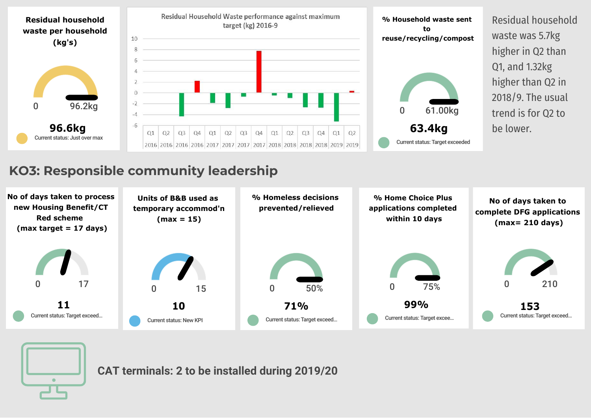

## **KO3: Responsible community leadership**





**CAT terminals: 2 to be installed during 2019/20**